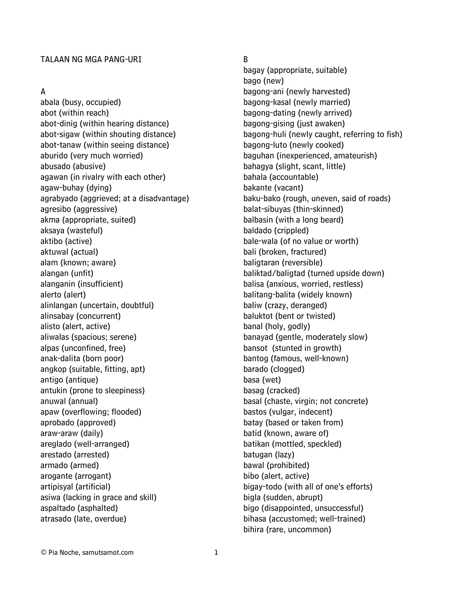### TALAAN NG MGA PANG-URI

#### A

abala (busy, occupied) abot (within reach) abot-dinig (within hearing distance) abot-sigaw (within shouting distance) abot-tanaw (within seeing distance) aburido (very much worried) abusado (abusive) agawan (in rivalry with each other) agaw-buhay (dying) agrabyado (aggrieved; at a disadvantage) agresibo (aggressive) akma (appropriate, suited) aksaya (wasteful) aktibo (active) aktuwal (actual) alam (known; aware) alangan (unfit) alanganin (insufficient) alerto (alert) alinlangan (uncertain, doubtful) alinsabay (concurrent) alisto (alert, active) aliwalas (spacious; serene) alpas (unconfined, free) anak-dalita (born poor) angkop (suitable, fitting, apt) antigo (antique) antukin (prone to sleepiness) anuwal (annual) apaw (overflowing; flooded) aprobado (approved) araw-araw (daily) areglado (well-arranged) arestado (arrested) armado (armed) arogante (arrogant) artipisyal (artificial) asiwa (lacking in grace and skill) aspaltado (asphalted) atrasado (late, overdue)

### B

bagay (appropriate, suitable) bago (new) bagong-ani (newly harvested) bagong-kasal (newly married) bagong-dating (newly arrived) bagong-gising (just awaken) bagong-huli (newly caught, referring to fish) bagong-luto (newly cooked) baguhan (inexperienced, amateurish) bahagya (slight, scant, little) bahala (accountable) bakante (vacant) baku-bako (rough, uneven, said of roads) balat-sibuyas (thin-skinned) balbasin (with a long beard) baldado (crippled) bale-wala (of no value or worth) bali (broken, fractured) baligtaran (reversible) baliktad/baligtad (turned upside down) balisa (anxious, worried, restless) balitang-balita (widely known) baliw (crazy, deranged) baluktot (bent or twisted) banal (holy, godly) banayad (gentle, moderately slow) bansot (stunted in growth) bantog (famous, well-known) barado (clogged) basa (wet) basag (cracked) basal (chaste, virgin; not concrete) bastos (vulgar, indecent) batay (based or taken from) batid (known, aware of) batikan (mottled, speckled) batugan (lazy) bawal (prohibited) bibo (alert, active) bigay-todo (with all of one's efforts) bigla (sudden, abrupt) bigo (disappointed, unsuccessful) bihasa (accustomed; well-trained) bihira (rare, uncommon)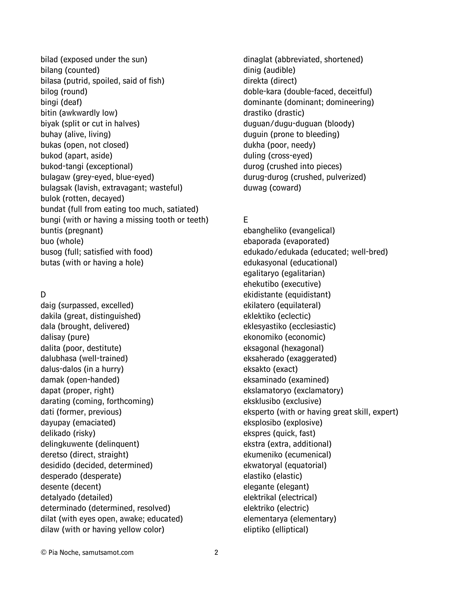bilad (exposed under the sun) bilang (counted) bilasa (putrid, spoiled, said of fish) bilog (round) bingi (deaf) bitin (awkwardly low) biyak (split or cut in halves) buhay (alive, living) bukas (open, not closed) bukod (apart, aside) bukod-tangi (exceptional) bulagaw (grey-eyed, blue-eyed) bulagsak (lavish, extravagant; wasteful) bulok (rotten, decayed) bundat (full from eating too much, satiated) bungi (with or having a missing tooth or teeth) buntis (pregnant) buo (whole) busog (full; satisfied with food) butas (with or having a hole)

### D

daig (surpassed, excelled) dakila (great, distinguished) dala (brought, delivered) dalisay (pure) dalita (poor, destitute) dalubhasa (well-trained) dalus-dalos (in a hurry) damak (open-handed) dapat (proper, right) darating (coming, forthcoming) dati (former, previous) dayupay (emaciated) delikado (risky) delingkuwente (delinquent) deretso (direct, straight) desidido (decided, determined) desperado (desperate) desente (decent) detalyado (detailed) determinado (determined, resolved) dilat (with eyes open, awake; educated) dilaw (with or having yellow color)

dinaglat (abbreviated, shortened) dinig (audible) direkta (direct) doble-kara (double-faced, deceitful) dominante (dominant; domineering) drastiko (drastic) duguan/dugu-duguan (bloody) duguin (prone to bleeding) dukha (poor, needy) duling (cross-eyed) durog (crushed into pieces) durug-durog (crushed, pulverized) duwag (coward)

# E

ebangheliko (evangelical) ebaporada (evaporated) edukado/edukada (educated; well-bred) edukasyonal (educational) egalitaryo (egalitarian) ehekutibo (executive) ekidistante (equidistant) ekilatero (equilateral) eklektiko (eclectic) eklesyastiko (ecclesiastic) ekonomiko (economic) eksagonal (hexagonal) eksaherado (exaggerated) eksakto (exact) eksaminado (examined) ekslamatoryo (exclamatory) eksklusibo (exclusive) eksperto (with or having great skill, expert) eksplosibo (explosive) ekspres (quick, fast) ekstra (extra, additional) ekumeniko (ecumenical) ekwatoryal (equatorial) elastiko (elastic) elegante (elegant) elektrikal (electrical) elektriko (electric) elementarya (elementary) eliptiko (elliptical)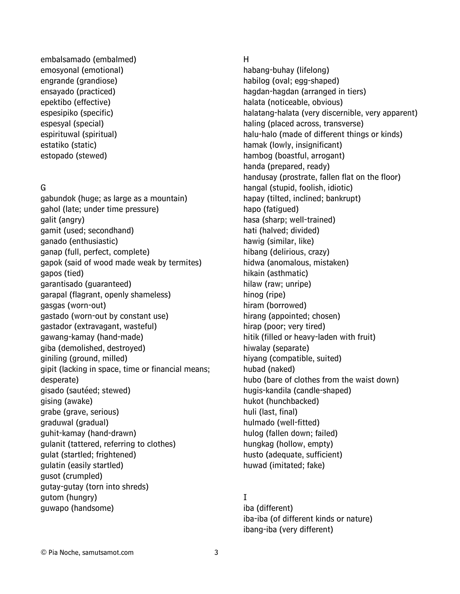embalsamado (embalmed) emosyonal (emotional) engrande (grandiose) ensayado (practiced) epektibo (effective) espesipiko (specific) espesyal (special) espirituwal (spiritual) estatiko (static) estopado (stewed)

#### G

gabundok (huge; as large as a mountain) gahol (late; under time pressure) galit (angry) gamit (used; secondhand) ganado (enthusiastic) ganap (full, perfect, complete) gapok (said of wood made weak by termites) gapos (tied) garantisado (guaranteed) garapal (flagrant, openly shameless) gasgas (worn-out) gastado (worn-out by constant use) gastador (extravagant, wasteful) gawang-kamay (hand-made) giba (demolished, destroyed) giniling (ground, milled) gipit (lacking in space, time or financial means; desperate) gisado (sautéed; stewed) gising (awake) grabe (grave, serious) graduwal (gradual) guhit-kamay (hand-drawn) gulanit (tattered, referring to clothes) gulat (startled; frightened) gulatin (easily startled) gusot (crumpled) gutay-gutay (torn into shreds) gutom (hungry) guwapo (handsome)

#### H

habang-buhay (lifelong) habilog (oval; egg-shaped) hagdan-hagdan (arranged in tiers) halata (noticeable, obvious) halatang-halata (very discernible, very apparent) haling (placed across, transverse) halu-halo (made of different things or kinds) hamak (lowly, insignificant) hambog (boastful, arrogant) handa (prepared, ready) handusay (prostrate, fallen flat on the floor) hangal (stupid, foolish, idiotic) hapay (tilted, inclined; bankrupt) hapo (fatigued) hasa (sharp; well-trained) hati (halved; divided) hawig (similar, like) hibang (delirious, crazy) hidwa (anomalous, mistaken) hikain (asthmatic) hilaw (raw; unripe) hinog (ripe) hiram (borrowed) hirang (appointed; chosen) hirap (poor; very tired) hitik (filled or heavy-laden with fruit) hiwalay (separate) hiyang (compatible, suited) hubad (naked) hubo (bare of clothes from the waist down) hugis-kandila (candle-shaped) hukot (hunchbacked) huli (last, final) hulmado (well-fitted) hulog (fallen down; failed) hungkag (hollow, empty) husto (adequate, sufficient) huwad (imitated; fake)

### I

iba (different) iba-iba (of different kinds or nature) ibang-iba (very different)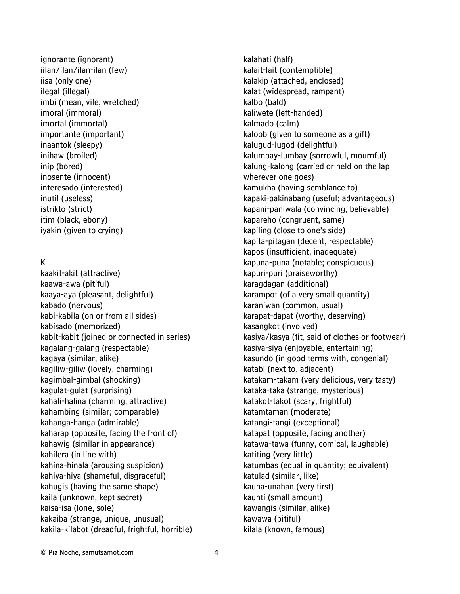ignorante (ignorant) iilan/ilan/ilan-ilan (few) iisa (only one) ilegal (illegal) imbi (mean, vile, wretched) imoral (immoral) imortal (immortal) importante (important) inaantok (sleepy) inihaw (broiled) inip (bored) inosente (innocent) interesado (interested) inutil (useless) istrikto (strict) itim (black, ebony) iyakin (given to crying)

### K

kaakit-akit (attractive) kaawa-awa (pitiful) kaaya-aya (pleasant, delightful) kabado (nervous) kabi-kabila (on or from all sides) kabisado (memorized) kabit-kabit (joined or connected in series) kagalang-galang (respectable) kagaya (similar, alike) kagiliw-giliw (lovely, charming) kagimbal-gimbal (shocking) kagulat-gulat (surprising) kahali-halina (charming, attractive) kahambing (similar; comparable) kahanga-hanga (admirable) kaharap (opposite, facing the front of) kahawig (similar in appearance) kahilera (in line with) kahina-hinala (arousing suspicion) kahiya-hiya (shameful, disgraceful) kahugis (having the same shape) kaila (unknown, kept secret) kaisa-isa (lone, sole) kakaiba (strange, unique, unusual) kakila-kilabot (dreadful, frightful, horrible) kalahati (half) kalait-lait (contemptible) kalakip (attached, enclosed) kalat (widespread, rampant) kalbo (bald) kaliwete (left-handed) kalmado (calm) kaloob (given to someone as a gift) kalugud-lugod (delightful) kalumbay-lumbay (sorrowful, mournful) kalung-kalong (carried or held on the lap wherever one goes) kamukha (having semblance to) kapaki-pakinabang (useful; advantageous) kapani-paniwala (convincing, believable) kapareho (congruent, same) kapiling (close to one's side) kapita-pitagan (decent, respectable) kapos (insufficient, inadequate) kapuna-puna (notable; conspicuous) kapuri-puri (praiseworthy) karagdagan (additional) karampot (of a very small quantity) karaniwan (common, usual) karapat-dapat (worthy, deserving) kasangkot (involved) kasiya/kasya (fit, said of clothes or footwear) kasiya-siya (enjoyable, entertaining) kasundo (in good terms with, congenial) katabi (next to, adjacent) katakam-takam (very delicious, very tasty) kataka-taka (strange, mysterious) katakot-takot (scary, frightful) katamtaman (moderate) katangi-tangi (exceptional) katapat (opposite, facing another) katawa-tawa (funny, comical, laughable) katiting (very little) katumbas (equal in quantity; equivalent) katulad (similar, like) kauna-unahan (very first) kaunti (small amount) kawangis (similar, alike) kawawa (pitiful) kilala (known, famous)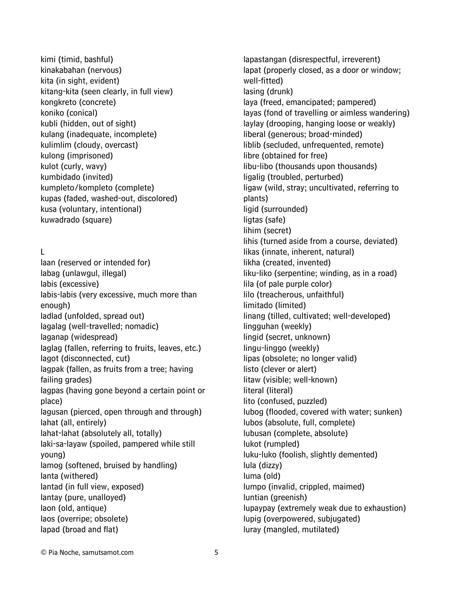kimi (timid, bashful) kinakabahan (nervous) kita (in sight, evident) kitang-kita (seen clearly, in full view) kongkreto (concrete) koniko (conical) kubli (hidden, out of sight) kulang (inadequate, incomplete) kulimlim (cloudy, overcast) kulong (imprisoned) kulot (curly, wavy) kumbidado (invited) kumpleto/kompleto (complete) kupas (faded, washed-out, discolored) kusa (voluntary, intentional) kuwadrado (square)

### L

laan (reserved or intended for) labag (unlawgul, illegal) labis (excessive) labis-labis (very excessive, much more than enough) ladlad (unfolded, spread out) lagalag (well-travelled; nomadic) laganap (widespread) laglag (fallen, referring to fruits, leaves, etc.) lagot (disconnected, cut) lagpak (fallen, as fruits from a tree; having failing grades) lagpas (having gone beyond a certain point or place) lagusan (pierced, open through and through) lahat (all, entirely) lahat-lahat (absolutely all, totally) laki-sa-layaw (spoiled, pampered while still young) lamog (softened, bruised by handling) lanta (withered) lantad (in full view, exposed) lantay (pure, unalloyed) laon (old, antique) laos (overripe; obsolete) lapad (broad and flat)

lapastangan (disrespectful, irreverent) lapat (properly closed, as a door or window; well-fitted) lasing (drunk) laya (freed, emancipated; pampered) layas (fond of travelling or aimless wandering) laylay (drooping, hanging loose or weakly) liberal (generous; broad-minded) liblib (secluded, unfrequented, remote) libre (obtained for free) libu-libo (thousands upon thousands) ligalig (troubled, perturbed) ligaw (wild, stray; uncultivated, referring to plants) ligid (surrounded) ligtas (safe) lihim (secret) lihis (turned aside from a course, deviated) likas (innate, inherent, natural) likha (created, invented) liku-liko (serpentine; winding, as in a road) lila (of pale purple color) lilo (treacherous, unfaithful) limitado (limited) linang (tilled, cultivated; well-developed) lingguhan (weekly) lingid (secret, unknown) lingu-linggo (weekly) lipas (obsolete; no longer valid) listo (clever or alert) litaw (visible; well-known) literal (literal) lito (confused, puzzled) lubog (flooded, covered with water; sunken) lubos (absolute, full, complete) lubusan (complete, absolute) lukot (rumpled) luku-luko (foolish, slightly demented) lula (dizzy) luma (old) lumpo (invalid, crippled, maimed) luntian (greenish) lupaypay (extremely weak due to exhaustion) lupig (overpowered, subjugated) luray (mangled, mutilated)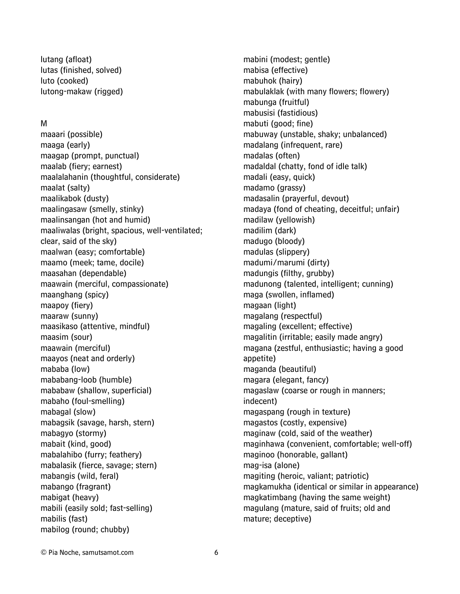lutang (afloat) lutas (finished, solved) luto (cooked) lutong-makaw (rigged)

#### M

maaari (possible) maaga (early) maagap (prompt, punctual) maalab (fiery; earnest) maalalahanin (thoughtful, considerate) maalat (salty) maalikabok (dusty) maalingasaw (smelly, stinky) maalinsangan (hot and humid) maaliwalas (bright, spacious, well-ventilated; clear, said of the sky) maalwan (easy; comfortable) maamo (meek; tame, docile) maasahan (dependable) maawain (merciful, compassionate) maanghang (spicy) maapoy (fiery) maaraw (sunny) maasikaso (attentive, mindful) maasim (sour) maawain (merciful) maayos (neat and orderly) mababa (low) mababang-loob (humble) mababaw (shallow, superficial) mabaho (foul-smelling) mabagal (slow) mabagsik (savage, harsh, stern) mabagyo (stormy) mabait (kind, good) mabalahibo (furry; feathery) mabalasik (fierce, savage; stern) mabangis (wild, feral) mabango (fragrant) mabigat (heavy) mabili (easily sold; fast-selling) mabilis (fast) mabilog (round; chubby)

mabini (modest; gentle) mabisa (effective) mabuhok (hairy) mabulaklak (with many flowers; flowery) mabunga (fruitful) mabusisi (fastidious) mabuti (good; fine) mabuway (unstable, shaky; unbalanced) madalang (infrequent, rare) madalas (often) madaldal (chatty, fond of idle talk) madali (easy, quick) madamo (grassy) madasalin (prayerful, devout) madaya (fond of cheating, deceitful; unfair) madilaw (yellowish) madilim (dark) madugo (bloody) madulas (slippery) madumi/marumi (dirty) madungis (filthy, grubby) madunong (talented, intelligent; cunning) maga (swollen, inflamed) magaan (light) magalang (respectful) magaling (excellent; effective) magalitin (irritable; easily made angry) magana (zestful, enthusiastic; having a good appetite) maganda (beautiful) magara (elegant, fancy) magaslaw (coarse or rough in manners; indecent) magaspang (rough in texture) magastos (costly, expensive) maginaw (cold, said of the weather) maginhawa (convenient, comfortable; well-off) maginoo (honorable, gallant) mag-isa (alone) magiting (heroic, valiant; patriotic) magkamukha (identical or similar in appearance) magkatimbang (having the same weight) magulang (mature, said of fruits; old and mature; deceptive)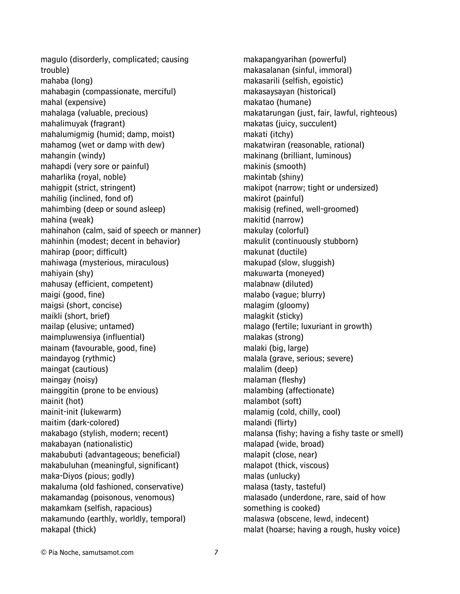magulo (disorderly, complicated; causing trouble) mahaba (long) mahabagin (compassionate, merciful) mahal (expensive) mahalaga (valuable, precious) mahalimuyak (fragrant) mahalumigmig (humid; damp, moist) mahamog (wet or damp with dew) mahangin (windy) mahapdi (very sore or painful) maharlika (royal, noble) mahigpit (strict, stringent) mahilig (inclined, fond of) mahimbing (deep or sound asleep) mahina (weak) mahinahon (calm, said of speech or manner) mahinhin (modest; decent in behavior) mahirap (poor; difficult) mahiwaga (mysterious, miraculous) mahiyain (shy) mahusay (efficient, competent) maigi (good, fine) maigsi (short, concise) maikli (short, brief) mailap (elusive; untamed) maimpluwensiya (influential) mainam (favourable, good, fine) maindayog (rythmic) maingat (cautious) maingay (noisy) mainggitin (prone to be envious) mainit (hot) mainit-init (lukewarm) maitim (dark-colored) makabago (stylish, modern; recent) makabayan (nationalistic) makabubuti (advantageous; beneficial) makabuluhan (meaningful, significant) maka-Diyos (pious; godly) makaluma (old fashioned, conservative) makamandag (poisonous, venomous) makamkam (selfish, rapacious) makamundo (earthly, worldly, temporal) makapal (thick)

makapangyarihan (powerful) makasalanan (sinful, immoral) makasarili (selfish, egoistic) makasaysayan (historical) makatao (humane) makatarungan (just, fair, lawful, righteous) makatas (juicy, succulent) makati (itchy) makatwiran (reasonable, rational) makinang (brilliant, luminous) makinis (smooth) makintab (shiny) makipot (narrow; tight or undersized) makirot (painful) makisig (refined, well-groomed) makitid (narrow) makulay (colorful) makulit (continuously stubborn) makunat (ductile) makupad (slow, sluggish) makuwarta (moneyed) malabnaw (diluted) malabo (vague; blurry) malagim (gloomy) malagkit (sticky) malago (fertile; luxuriant in growth) malakas (strong) malaki (big, large) malala (grave, serious; severe) malalim (deep) malaman (fleshy) malambing (affectionate) malambot (soft) malamig (cold, chilly, cool) malandi (flirty) malansa (fishy; having a fishy taste or smell) malapad (wide, broad) malapit (close, near) malapot (thick, viscous) malas (unlucky) malasa (tasty, tasteful) malasado (underdone, rare, said of how something is cooked) malaswa (obscene, lewd, indecent) malat (hoarse; having a rough, husky voice)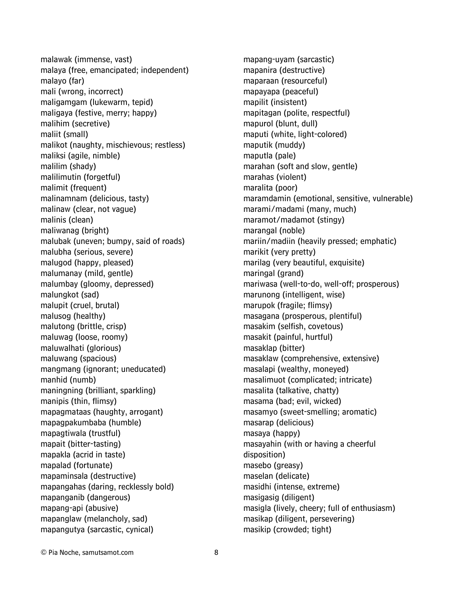malawak (immense, vast) malaya (free, emancipated; independent) malayo (far) mali (wrong, incorrect) maligamgam (lukewarm, tepid) maligaya (festive, merry; happy) malihim (secretive) maliit (small) malikot (naughty, mischievous; restless) maliksi (agile, nimble) malilim (shady) malilimutin (forgetful) malimit (frequent) malinamnam (delicious, tasty) malinaw (clear, not vague) malinis (clean) maliwanag (bright) malubak (uneven; bumpy, said of roads) malubha (serious, severe) malugod (happy, pleased) malumanay (mild, gentle) malumbay (gloomy, depressed) malungkot (sad) malupit (cruel, brutal) malusog (healthy) malutong (brittle, crisp) maluwag (loose, roomy) maluwalhati (glorious) maluwang (spacious) mangmang (ignorant; uneducated) manhid (numb) maningning (brilliant, sparkling) manipis (thin, flimsy) mapagmataas (haughty, arrogant) mapagpakumbaba (humble) mapagtiwala (trustful) mapait (bitter-tasting) mapakla (acrid in taste) mapalad (fortunate) mapaminsala (destructive) mapangahas (daring, recklessly bold) mapanganib (dangerous) mapang-api (abusive) mapanglaw (melancholy, sad) mapangutya (sarcastic, cynical)

mapang-uyam (sarcastic) mapanira (destructive) maparaan (resourceful) mapayapa (peaceful) mapilit (insistent) mapitagan (polite, respectful) mapurol (blunt, dull) maputi (white, light-colored) maputik (muddy) maputla (pale) marahan (soft and slow, gentle) marahas (violent) maralita (poor) maramdamin (emotional, sensitive, vulnerable) marami/madami (many, much) maramot/madamot (stingy) marangal (noble) mariin/madiin (heavily pressed; emphatic) marikit (very pretty) marilag (very beautiful, exquisite) maringal (grand) mariwasa (well-to-do, well-off; prosperous) marunong (intelligent, wise) marupok (fragile; flimsy) masagana (prosperous, plentiful) masakim (selfish, covetous) masakit (painful, hurtful) masaklap (bitter) masaklaw (comprehensive, extensive) masalapi (wealthy, moneyed) masalimuot (complicated; intricate) masalita (talkative, chatty) masama (bad; evil, wicked) masamyo (sweet-smelling; aromatic) masarap (delicious) masaya (happy) masayahin (with or having a cheerful disposition) masebo (greasy) maselan (delicate) masidhi (intense, extreme) masigasig (diligent) masigla (lively, cheery; full of enthusiasm) masikap (diligent, persevering) masikip (crowded; tight)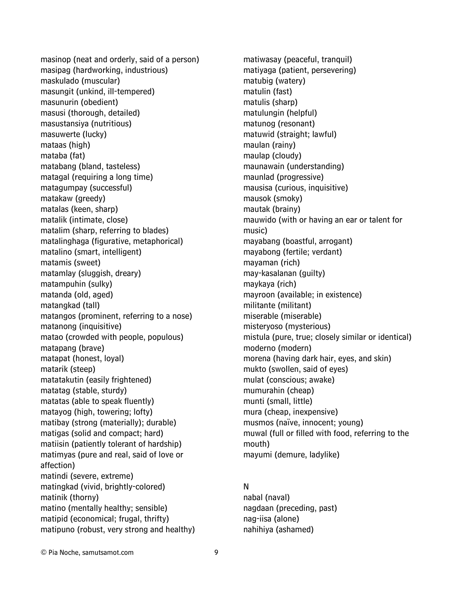masinop (neat and orderly, said of a person) masipag (hardworking, industrious) maskulado (muscular) masungit (unkind, ill-tempered) masunurin (obedient) masusi (thorough, detailed) masustansiya (nutritious) masuwerte (lucky) mataas (high) mataba (fat) matabang (bland, tasteless) matagal (requiring a long time) matagumpay (successful) matakaw (greedy) matalas (keen, sharp) matalik (intimate, close) matalim (sharp, referring to blades) matalinghaga (figurative, metaphorical) matalino (smart, intelligent) matamis (sweet) matamlay (sluggish, dreary) matampuhin (sulky) matanda (old, aged) matangkad (tall) matangos (prominent, referring to a nose) matanong (inquisitive) matao (crowded with people, populous) matapang (brave) matapat (honest, loyal) matarik (steep) matatakutin (easily frightened) matatag (stable, sturdy) matatas (able to speak fluently) matayog (high, towering; lofty) matibay (strong (materially); durable) matigas (solid and compact; hard) matiisin (patiently tolerant of hardship) matimyas (pure and real, said of love or affection) matindi (severe, extreme) matingkad (vivid, brightly-colored) matinik (thorny) matino (mentally healthy; sensible) matipid (economical; frugal, thrifty) matipuno (robust, very strong and healthy)

matiyaga (patient, persevering) matubig (watery) matulin (fast) matulis (sharp) matulungin (helpful) matunog (resonant) matuwid (straight; lawful) maulan (rainy) maulap (cloudy) maunawain (understanding) maunlad (progressive) mausisa (curious, inquisitive) mausok (smoky) mautak (brainy) mauwido (with or having an ear or talent for music) mayabang (boastful, arrogant) mayabong (fertile; verdant) mayaman (rich) may-kasalanan (guilty) maykaya (rich) mayroon (available; in existence) militante (militant) miserable (miserable) misteryoso (mysterious) mistula (pure, true; closely similar or identical) moderno (modern) morena (having dark hair, eyes, and skin) mukto (swollen, said of eyes) mulat (conscious; awake) mumurahin (cheap) munti (small, little) mura (cheap, inexpensive) musmos (naïve, innocent; young) muwal (full or filled with food, referring to the mouth) mayumi (demure, ladylike) N

matiwasay (peaceful, tranquil)

nabal (naval) nagdaan (preceding, past) nag-iisa (alone) nahihiya (ashamed)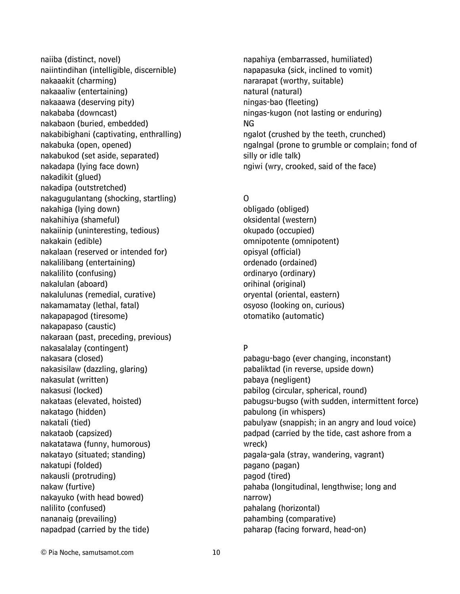naiiba (distinct, novel) naiintindihan (intelligible, discernible) nakaaakit (charming) nakaaaliw (entertaining) nakaaawa (deserving pity) nakababa (downcast) nakabaon (buried, embedded) nakabibighani (captivating, enthralling) nakabuka (open, opened) nakabukod (set aside, separated) nakadapa (lying face down) nakadikit (glued) nakadipa (outstretched) nakagugulantang (shocking, startling) nakahiga (lying down) nakahihiya (shameful) nakaiinip (uninteresting, tedious) nakakain (edible) nakalaan (reserved or intended for) nakalilibang (entertaining) nakalilito (confusing) nakalulan (aboard) nakalulunas (remedial, curative) nakamamatay (lethal, fatal) nakapapagod (tiresome) nakapapaso (caustic) nakaraan (past, preceding, previous) nakasalalay (contingent) nakasara (closed) nakasisilaw (dazzling, glaring) nakasulat (written) nakasusi (locked) nakataas (elevated, hoisted) nakatago (hidden) nakatali (tied) nakataob (capsized) nakatatawa (funny, humorous) nakatayo (situated; standing) nakatupi (folded) nakausli (protruding) nakaw (furtive) nakayuko (with head bowed) nalilito (confused) nananaig (prevailing) napadpad (carried by the tide)

napahiya (embarrassed, humiliated) napapasuka (sick, inclined to vomit) nararapat (worthy, suitable) natural (natural) ningas-bao (fleeting) ningas-kugon (not lasting or enduring) NG ngalot (crushed by the teeth, crunched) ngalngal (prone to grumble or complain; fond of silly or idle talk) ngiwi (wry, crooked, said of the face)

### O

obligado (obliged) oksidental (western) okupado (occupied) omnipotente (omnipotent) opisyal (official) ordenado (ordained) ordinaryo (ordinary) orihinal (original) oryental (oriental, eastern) osyoso (looking on, curious) otomatiko (automatic)

## P

pabagu-bago (ever changing, inconstant) pabaliktad (in reverse, upside down) pabaya (negligent) pabilog (circular, spherical, round) pabugsu-bugso (with sudden, intermittent force) pabulong (in whispers) pabulyaw (snappish; in an angry and loud voice) padpad (carried by the tide, cast ashore from a wreck) pagala-gala (stray, wandering, vagrant) pagano (pagan) pagod (tired) pahaba (longitudinal, lengthwise; long and narrow) pahalang (horizontal) pahambing (comparative) paharap (facing forward, head-on)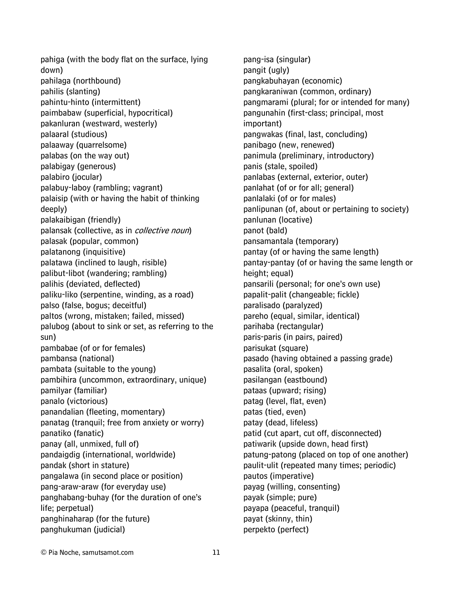pahiga (with the body flat on the surface, lying down) pahilaga (northbound) pahilis (slanting) pahintu-hinto (intermittent) paimbabaw (superficial, hypocritical) pakanluran (westward, westerly) palaaral (studious) palaaway (quarrelsome) palabas (on the way out) palabigay (generous) palabiro (jocular) palabuy-laboy (rambling; vagrant) palaisip (with or having the habit of thinking deeply) palakaibigan (friendly) palansak (collective, as in *collective noun*) palasak (popular, common) palatanong (inquisitive) palatawa (inclined to laugh, risible) palibut-libot (wandering; rambling) palihis (deviated, deflected) paliku-liko (serpentine, winding, as a road) palso (false, bogus; deceitful) paltos (wrong, mistaken; failed, missed) palubog (about to sink or set, as referring to the sun) pambabae (of or for females) pambansa (national) pambata (suitable to the young) pambihira (uncommon, extraordinary, unique) pamilyar (familiar) panalo (victorious) panandalian (fleeting, momentary) panatag (tranquil; free from anxiety or worry) panatiko (fanatic) panay (all, unmixed, full of) pandaigdig (international, worldwide) pandak (short in stature) pangalawa (in second place or position) pang-araw-araw (for everyday use) panghabang-buhay (for the duration of one's life; perpetual) panghinaharap (for the future) panghukuman (judicial)

pang-isa (singular) pangit (ugly) pangkabuhayan (economic) pangkaraniwan (common, ordinary) pangmarami (plural; for or intended for many) pangunahin (first-class; principal, most important) pangwakas (final, last, concluding) panibago (new, renewed) panimula (preliminary, introductory) panis (stale, spoiled) panlabas (external, exterior, outer) panlahat (of or for all; general) panlalaki (of or for males) panlipunan (of, about or pertaining to society) panlunan (locative) panot (bald) pansamantala (temporary) pantay (of or having the same length) pantay-pantay (of or having the same length or height; equal) pansarili (personal; for one's own use) papalit-palit (changeable; fickle) paralisado (paralyzed) pareho (equal, similar, identical) parihaba (rectangular) paris-paris (in pairs, paired) parisukat (square) pasado (having obtained a passing grade) pasalita (oral, spoken) pasilangan (eastbound) pataas (upward; rising) patag (level, flat, even) patas (tied, even) patay (dead, lifeless) patid (cut apart, cut off, disconnected) patiwarik (upside down, head first) patung-patong (placed on top of one another) paulit-ulit (repeated many times; periodic) pautos (imperative) payag (willing, consenting) payak (simple; pure) payapa (peaceful, tranquil) payat (skinny, thin) perpekto (perfect)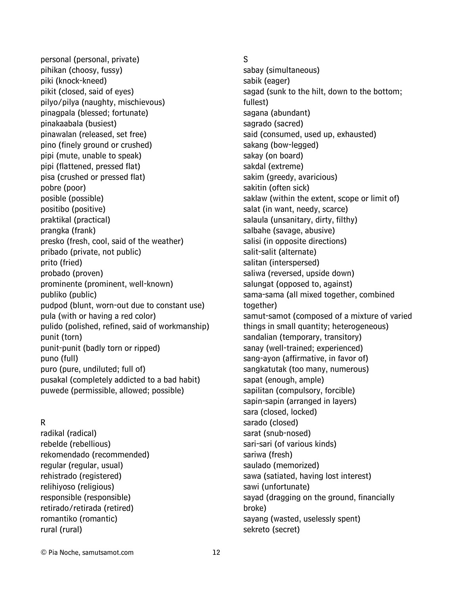personal (personal, private) pihikan (choosy, fussy) piki (knock-kneed) pikit (closed, said of eyes) pilyo/pilya (naughty, mischievous) pinagpala (blessed; fortunate) pinakaabala (busiest) pinawalan (released, set free) pino (finely ground or crushed) pipi (mute, unable to speak) pipi (flattened, pressed flat) pisa (crushed or pressed flat) pobre (poor) posible (possible) positibo (positive) praktikal (practical) prangka (frank) presko (fresh, cool, said of the weather) pribado (private, not public) prito (fried) probado (proven) prominente (prominent, well-known) publiko (public) pudpod (blunt, worn-out due to constant use) pula (with or having a red color) pulido (polished, refined, said of workmanship) punit (torn) punit-punit (badly torn or ripped) puno (full) puro (pure, undiluted; full of) pusakal (completely addicted to a bad habit) puwede (permissible, allowed; possible)

### R

radikal (radical) rebelde (rebellious) rekomendado (recommended) regular (regular, usual) rehistrado (registered) relihiyoso (religious) responsible (responsible) retirado/retirada (retired) romantiko (romantic) rural (rural)

### S

sabay (simultaneous) sabik (eager) sagad (sunk to the hilt, down to the bottom; fullest) sagana (abundant) sagrado (sacred) said (consumed, used up, exhausted) sakang (bow-legged) sakay (on board) sakdal (extreme) sakim (greedy, avaricious) sakitin (often sick) saklaw (within the extent, scope or limit of) salat (in want, needy, scarce) salaula (unsanitary, dirty, filthy) salbahe (savage, abusive) salisi (in opposite directions) salit-salit (alternate) salitan (interspersed) saliwa (reversed, upside down) salungat (opposed to, against) sama-sama (all mixed together, combined together) samut-samot (composed of a mixture of varied things in small quantity; heterogeneous) sandalian (temporary, transitory) sanay (well-trained; experienced) sang-ayon (affirmative, in favor of) sangkatutak (too many, numerous) sapat (enough, ample) sapilitan (compulsory, forcible) sapin-sapin (arranged in layers) sara (closed, locked) sarado (closed) sarat (snub-nosed) sari-sari (of various kinds) sariwa (fresh) saulado (memorized) sawa (satiated, having lost interest) sawi (unfortunate) sayad (dragging on the ground, financially broke) sayang (wasted, uselessly spent) sekreto (secret)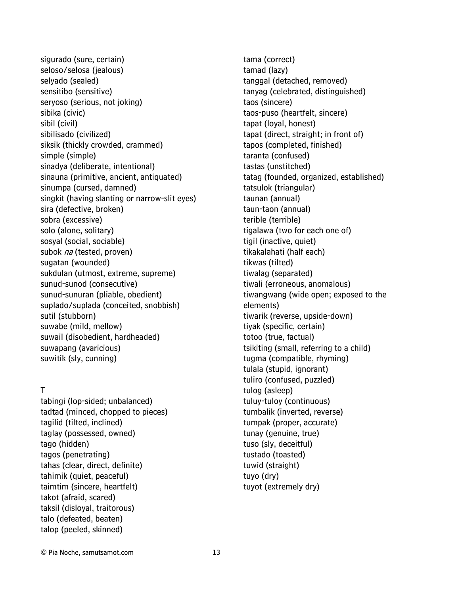sigurado (sure, certain) seloso/selosa (jealous) selyado (sealed) sensitibo (sensitive) seryoso (serious, not joking) sibika (civic) sibil (civil) sibilisado (civilized) siksik (thickly crowded, crammed) simple (simple) sinadya (deliberate, intentional) sinauna (primitive, ancient, antiquated) sinumpa (cursed, damned) singkit (having slanting or narrow-slit eyes) sira (defective, broken) sobra (excessive) solo (alone, solitary) sosyal (social, sociable) subok na (tested, proven) sugatan (wounded) sukdulan (utmost, extreme, supreme) sunud-sunod (consecutive) sunud-sunuran (pliable, obedient) suplado/suplada (conceited, snobbish) sutil (stubborn) suwabe (mild, mellow) suwail (disobedient, hardheaded) suwapang (avaricious) suwitik (sly, cunning)

### T

tabingi (lop-sided; unbalanced) tadtad (minced, chopped to pieces) tagilid (tilted, inclined) taglay (possessed, owned) tago (hidden) tagos (penetrating) tahas (clear, direct, definite) tahimik (quiet, peaceful) taimtim (sincere, heartfelt) takot (afraid, scared) taksil (disloyal, traitorous) talo (defeated, beaten) talop (peeled, skinned)

tama (correct) tamad (lazy) tanggal (detached, removed) tanyag (celebrated, distinguished) taos (sincere) taos-puso (heartfelt, sincere) tapat (loyal, honest) tapat (direct, straight; in front of) tapos (completed, finished) taranta (confused) tastas (unstitched) tatag (founded, organized, established) tatsulok (triangular) taunan (annual) taun-taon (annual) terible (terrible) tigalawa (two for each one of) tigil (inactive, quiet) tikakalahati (half each) tikwas (tilted) tiwalag (separated) tiwali (erroneous, anomalous) tiwangwang (wide open; exposed to the elements) tiwarik (reverse, upside-down) tiyak (specific, certain) totoo (true, factual) tsikiting (small, referring to a child) tugma (compatible, rhyming) tulala (stupid, ignorant) tuliro (confused, puzzled) tulog (asleep) tuluy-tuloy (continuous) tumbalik (inverted, reverse) tumpak (proper, accurate) tunay (genuine, true) tuso (sly, deceitful) tustado (toasted) tuwid (straight) tuyo (dry) tuyot (extremely dry)